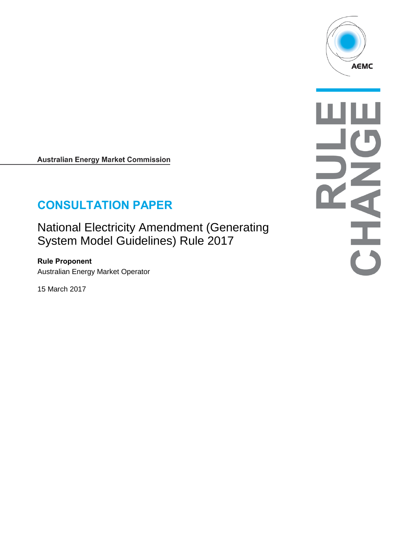

**Australian Energy Market Commission** 

# **CONSULTATION PAPER**

National Electricity Amendment (Generating System Model Guidelines) Rule 2017

**Rule Proponent** Australian Energy Market Operator

15 March 2017

AHAHO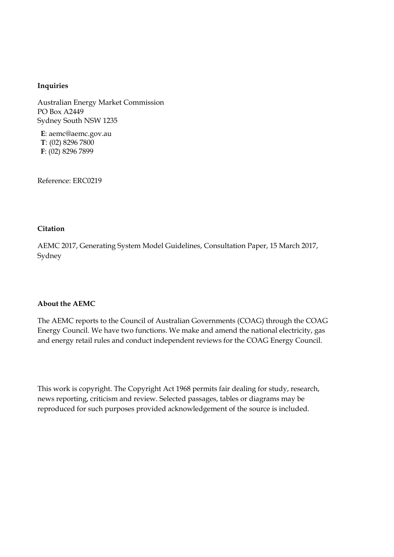#### **Inquiries**

Australian Energy Market Commission PO Box A2449 Sydney South NSW 1235

**E**: aemc@aemc.gov.au **T**: (02) 8296 7800 **F**: (02) 8296 7899

Reference: ERC0219

#### **Citation**

AEMC 2017, Generating System Model Guidelines, Consultation Paper, 15 March 2017, Sydney

#### **About the AEMC**

The AEMC reports to the Council of Australian Governments (COAG) through the COAG Energy Council. We have two functions. We make and amend the national electricity, gas and energy retail rules and conduct independent reviews for the COAG Energy Council.

This work is copyright. The Copyright Act 1968 permits fair dealing for study, research, news reporting, criticism and review. Selected passages, tables or diagrams may be reproduced for such purposes provided acknowledgement of the source is included.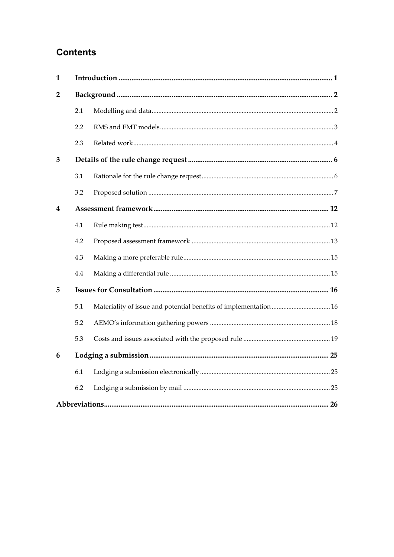## **Contents**

| $\mathbf{1}$   |     |  |  |  |  |
|----------------|-----|--|--|--|--|
| $\overline{2}$ |     |  |  |  |  |
|                | 2.1 |  |  |  |  |
|                | 2.2 |  |  |  |  |
|                | 2.3 |  |  |  |  |
| 3              |     |  |  |  |  |
|                | 3.1 |  |  |  |  |
|                | 3.2 |  |  |  |  |
| 4              |     |  |  |  |  |
|                | 4.1 |  |  |  |  |
|                | 4.2 |  |  |  |  |
|                | 4.3 |  |  |  |  |
|                | 4.4 |  |  |  |  |
| 5              |     |  |  |  |  |
|                | 5.1 |  |  |  |  |
|                | 5.2 |  |  |  |  |
|                | 5.3 |  |  |  |  |
| 6              |     |  |  |  |  |
|                | 6.1 |  |  |  |  |
|                | 6.2 |  |  |  |  |
|                |     |  |  |  |  |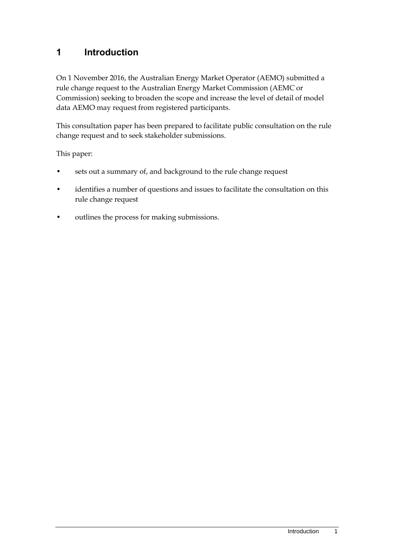## <span id="page-4-0"></span>**1 Introduction**

On 1 November 2016, the Australian Energy Market Operator (AEMO) submitted a rule change request to the Australian Energy Market Commission (AEMC or Commission) seeking to broaden the scope and increase the level of detail of model data AEMO may request from registered participants.

This consultation paper has been prepared to facilitate public consultation on the rule change request and to seek stakeholder submissions.

This paper:

- sets out a summary of, and background to the rule change request
- identifies a number of questions and issues to facilitate the consultation on this rule change request
- outlines the process for making submissions.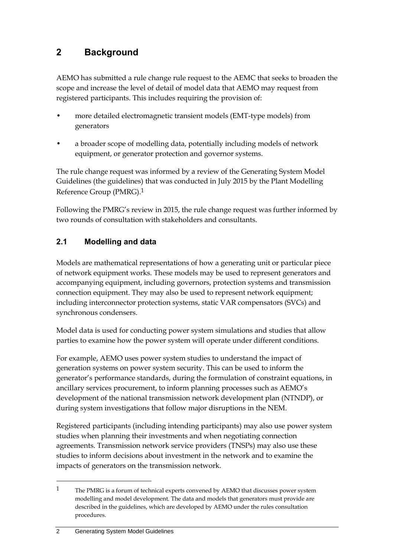## <span id="page-5-0"></span>**2 Background**

AEMO has submitted a rule change rule request to the AEMC that seeks to broaden the scope and increase the level of detail of model data that AEMO may request from registered participants. This includes requiring the provision of:

- more detailed electromagnetic transient models (EMT-type models) from generators
- a broader scope of modelling data, potentially including models of network equipment, or generator protection and governor systems.

The rule change request was informed by a review of the Generating System Model Guidelines (the guidelines) that was conducted in July 2015 by the Plant Modelling Reference Group (PMRG).1

Following the PMRG's review in 2015, the rule change request was further informed by two rounds of consultation with stakeholders and consultants.

### <span id="page-5-1"></span>**2.1 Modelling and data**

Models are mathematical representations of how a generating unit or particular piece of network equipment works. These models may be used to represent generators and accompanying equipment, including governors, protection systems and transmission connection equipment. They may also be used to represent network equipment; including interconnector protection systems, static VAR compensators (SVCs) and synchronous condensers.

Model data is used for conducting power system simulations and studies that allow parties to examine how the power system will operate under different conditions.

For example, AEMO uses power system studies to understand the impact of generation systems on power system security. This can be used to inform the generator's performance standards, during the formulation of constraint equations, in ancillary services procurement, to inform planning processes such as AEMO's development of the national transmission network development plan (NTNDP), or during system investigations that follow major disruptions in the NEM.

Registered participants (including intending participants) may also use power system studies when planning their investments and when negotiating connection agreements. Transmission network service providers (TNSPs) may also use these studies to inform decisions about investment in the network and to examine the impacts of generators on the transmission network.

<sup>1</sup> The PMRG is a forum of technical experts convened by AEMO that discusses power system modelling and model development. The data and models that generators must provide are described in the guidelines, which are developed by AEMO under the rules consultation procedures.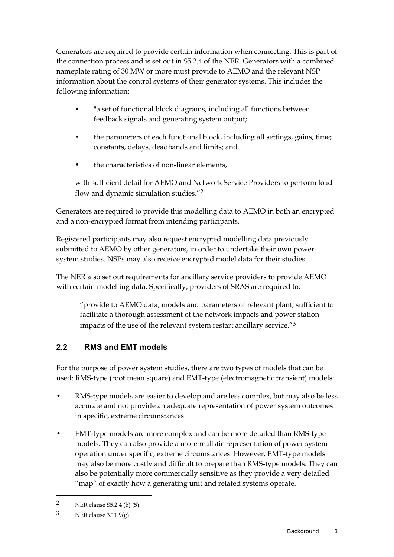Generators are required to provide certain information when connecting. This is part of the connection process and is set out in S5.2.4 of the NER. Generators with a combined nameplate rating of 30 MW or more must provide to AEMO and the relevant NSP information about the control systems of their generator systems. This includes the following information:

- "a set of functional block diagrams, including all functions between feedback signals and generating system output;
- the parameters of each functional block, including all settings, gains, time; constants, delays, deadbands and limits; and
- the characteristics of non-linear elements,

with sufficient detail for AEMO and Network Service Providers to perform load flow and dynamic simulation studies."2

Generators are required to provide this modelling data to AEMO in both an encrypted and a non-encrypted format from intending participants.

Registered participants may also request encrypted modelling data previously submitted to AEMO by other generators, in order to undertake their own power system studies. NSPs may also receive encrypted model data for their studies.

The NER also set out requirements for ancillary service providers to provide AEMO with certain modelling data. Specifically, providers of SRAS are required to:

"provide to AEMO data, models and parameters of relevant plant, sufficient to facilitate a thorough assessment of the network impacts and power station impacts of the use of the relevant system restart ancillary service."3

## <span id="page-6-0"></span>**2.2 RMS and EMT models**

For the purpose of power system studies, there are two types of models that can be used: RMS-type (root mean square) and EMT-type (electromagnetic transient) models:

- RMS-type models are easier to develop and are less complex, but may also be less accurate and not provide an adequate representation of power system outcomes in specific, extreme circumstances.
- EMT-type models are more complex and can be more detailed than RMS-type models. They can also provide a more realistic representation of power system operation under specific, extreme circumstances. However, EMT-type models may also be more costly and difficult to prepare than RMS-type models. They can also be potentially more commercially sensitive as they provide a very detailed "map" of exactly how a generating unit and related systems operate.

<sup>2</sup> NER clause S5.2.4 (b) (5)

<sup>3</sup> NER clause 3.11.9(g)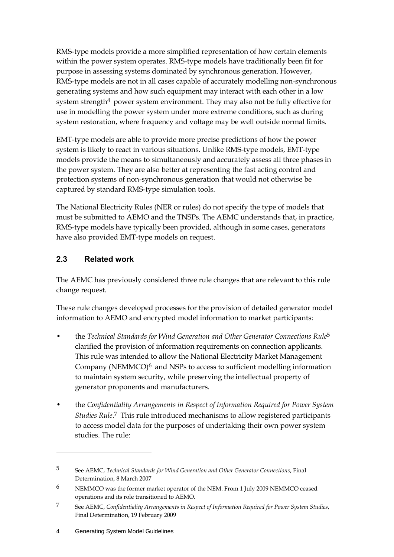RMS-type models provide a more simplified representation of how certain elements within the power system operates. RMS-type models have traditionally been fit for purpose in assessing systems dominated by synchronous generation. However, RMS-type models are not in all cases capable of accurately modelling non-synchronous generating systems and how such equipment may interact with each other in a low system strength $4$  power system environment. They may also not be fully effective for use in modelling the power system under more extreme conditions, such as during system restoration, where frequency and voltage may be well outside normal limits.

EMT-type models are able to provide more precise predictions of how the power system is likely to react in various situations. Unlike RMS-type models, EMT-type models provide the means to simultaneously and accurately assess all three phases in the power system. They are also better at representing the fast acting control and protection systems of non-synchronous generation that would not otherwise be captured by standard RMS-type simulation tools.

The National Electricity Rules (NER or rules) do not specify the type of models that must be submitted to AEMO and the TNSPs. The AEMC understands that, in practice, RMS-type models have typically been provided, although in some cases, generators have also provided EMT-type models on request.

### <span id="page-7-0"></span>**2.3 Related work**

The AEMC has previously considered three rule changes that are relevant to this rule change request.

These rule changes developed processes for the provision of detailed generator model information to AEMO and encrypted model information to market participants:

- the *Technical Standards for Wind Generation and Other Generator Connections Rule*5 clarified the provision of information requirements on connection applicants. This rule was intended to allow the National Electricity Market Management Company (NEMMCO) $\frac{6}{10}$  and NSPs to access to sufficient modelling information to maintain system security, while preserving the intellectual property of generator proponents and manufacturers.
- the *Confidentiality Arrangements in Respect of Information Required for Power System Studies Rule*. 7 This rule introduced mechanisms to allow registered participants to access model data for the purposes of undertaking their own power system studies. The rule:

<sup>5</sup> See AEMC, *Technical Standards for Wind Generation and Other Generator Connections*, Final Determination, 8 March 2007

<sup>6</sup> NEMMCO was the former market operator of the NEM. From 1 July 2009 NEMMCO ceased operations and its role transitioned to AEMO.

<sup>7</sup> See AEMC, *Confidentiality Arrangements in Respect of Information Required for Power System Studies*, Final Determination, 19 February 2009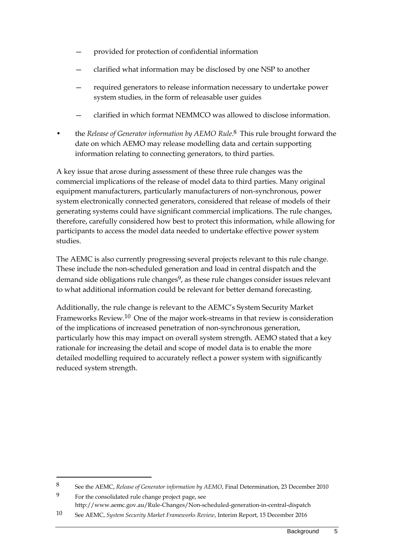- provided for protection of confidential information
- clarified what information may be disclosed by one NSP to another
- required generators to release information necessary to undertake power system studies, in the form of releasable user guides
- clarified in which format NEMMCO was allowed to disclose information.
- the *Release of Generator information by AEMO Rule*.<sup>8</sup> This rule brought forward the date on which AEMO may release modelling data and certain supporting information relating to connecting generators, to third parties.

A key issue that arose during assessment of these three rule changes was the commercial implications of the release of model data to third parties. Many original equipment manufacturers, particularly manufacturers of non-synchronous, power system electronically connected generators, considered that release of models of their generating systems could have significant commercial implications. The rule changes, therefore, carefully considered how best to protect this information, while allowing for participants to access the model data needed to undertake effective power system studies.

The AEMC is also currently progressing several projects relevant to this rule change. These include the non-scheduled generation and load in central dispatch and the demand side obligations rule changes<sup>9</sup>, as these rule changes consider issues relevant to what additional information could be relevant for better demand forecasting.

Additionally, the rule change is relevant to the AEMC's System Security Market Frameworks Review.10 One of the major work-streams in that review is consideration of the implications of increased penetration of non-synchronous generation, particularly how this may impact on overall system strength. AEMO stated that a key rationale for increasing the detail and scope of model data is to enable the more detailed modelling required to accurately reflect a power system with significantly reduced system strength.

<sup>8</sup> See the AEMC, *Release of Generator information by AEMO*, Final Determination, 23 December 2010

<sup>9</sup> For the consolidated rule change project page, see http://www.aemc.gov.au/Rule-Changes/Non-scheduled-generation-in-central-dispatch

<sup>10</sup> See AEMC, *System Security Market Frameworks Review*, Interim Report, 15 December 2016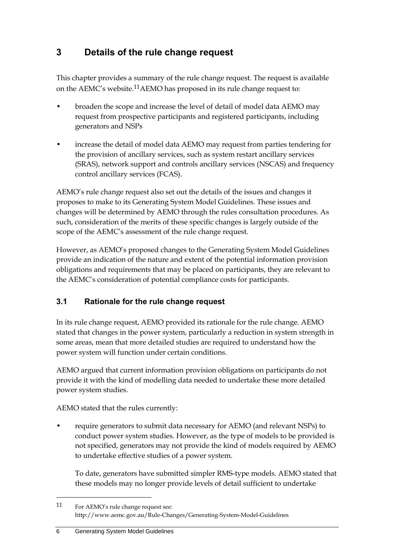## <span id="page-9-0"></span>**3 Details of the rule change request**

This chapter provides a summary of the rule change request. The request is available on the AEMC's website.11AEMO has proposed in its rule change request to:

- broaden the scope and increase the level of detail of model data AEMO may request from prospective participants and registered participants, including generators and NSPs
- increase the detail of model data AEMO may request from parties tendering for the provision of ancillary services, such as system restart ancillary services (SRAS), network support and controls ancillary services (NSCAS) and frequency control ancillary services (FCAS).

AEMO's rule change request also set out the details of the issues and changes it proposes to make to its Generating System Model Guidelines. These issues and changes will be determined by AEMO through the rules consultation procedures. As such, consideration of the merits of these specific changes is largely outside of the scope of the AEMC's assessment of the rule change request.

However, as AEMO's proposed changes to the Generating System Model Guidelines provide an indication of the nature and extent of the potential information provision obligations and requirements that may be placed on participants, they are relevant to the AEMC's consideration of potential compliance costs for participants.

### <span id="page-9-1"></span>**3.1 Rationale for the rule change request**

In its rule change request, AEMO provided its rationale for the rule change. AEMO stated that changes in the power system, particularly a reduction in system strength in some areas, mean that more detailed studies are required to understand how the power system will function under certain conditions.

AEMO argued that current information provision obligations on participants do not provide it with the kind of modelling data needed to undertake these more detailed power system studies.

AEMO stated that the rules currently:

• require generators to submit data necessary for AEMO (and relevant NSPs) to conduct power system studies. However, as the type of models to be provided is not specified, generators may not provide the kind of models required by AEMO to undertake effective studies of a power system.

To date, generators have submitted simpler RMS-type models. AEMO stated that these models may no longer provide levels of detail sufficient to undertake

<sup>11</sup> For AEMO's rule change request see: http://www.aemc.gov.au/Rule-Changes/Generating-System-Model-Guidelines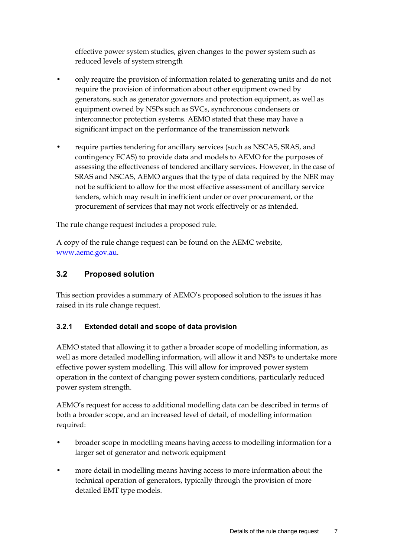effective power system studies, given changes to the power system such as reduced levels of system strength

- only require the provision of information related to generating units and do not require the provision of information about other equipment owned by generators, such as generator governors and protection equipment, as well as equipment owned by NSPs such as SVCs, synchronous condensers or interconnector protection systems. AEMO stated that these may have a significant impact on the performance of the transmission network
- require parties tendering for ancillary services (such as NSCAS, SRAS, and contingency FCAS) to provide data and models to AEMO for the purposes of assessing the effectiveness of tendered ancillary services. However, in the case of SRAS and NSCAS, AEMO argues that the type of data required by the NER may not be sufficient to allow for the most effective assessment of ancillary service tenders, which may result in inefficient under or over procurement, or the procurement of services that may not work effectively or as intended.

The rule change request includes a proposed rule.

A copy of the rule change request can be found on the AEMC website, [www.aemc.gov.au.](file:///C:/Users/istvan.szabo/AppData/Local/Temp/EXP/Narrative/www.aemc.gov.au)

### <span id="page-10-0"></span>**3.2 Proposed solution**

This section provides a summary of AEMO's proposed solution to the issues it has raised in its rule change request.

### **3.2.1 Extended detail and scope of data provision**

AEMO stated that allowing it to gather a broader scope of modelling information, as well as more detailed modelling information, will allow it and NSPs to undertake more effective power system modelling. This will allow for improved power system operation in the context of changing power system conditions, particularly reduced power system strength.

AEMO's request for access to additional modelling data can be described in terms of both a broader scope, and an increased level of detail, of modelling information required:

- broader scope in modelling means having access to modelling information for a larger set of generator and network equipment
- more detail in modelling means having access to more information about the technical operation of generators, typically through the provision of more detailed EMT type models.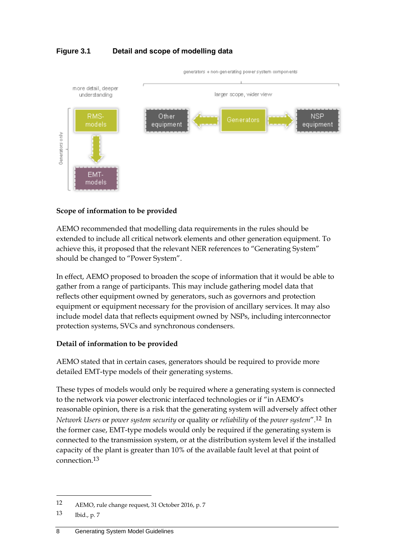### **Figure 3.1 Detail and scope of modelling data**



#### **Scope of information to be provided**

AEMO recommended that modelling data requirements in the rules should be extended to include all critical network elements and other generation equipment. To achieve this, it proposed that the relevant NER references to "Generating System" should be changed to "Power System".

In effect, AEMO proposed to broaden the scope of information that it would be able to gather from a range of participants. This may include gathering model data that reflects other equipment owned by generators, such as governors and protection equipment or equipment necessary for the provision of ancillary services. It may also include model data that reflects equipment owned by NSPs, including interconnector protection systems, SVCs and synchronous condensers.

#### **Detail of information to be provided**

AEMO stated that in certain cases, generators should be required to provide more detailed EMT-type models of their generating systems.

These types of models would only be required where a generating system is connected to the network via power electronic interfaced technologies or if "in AEMO's reasonable opinion, there is a risk that the generating system will adversely affect other *Network Users* or *power system security* or quality or *reliability* of the *power system*".12 In the former case, EMT-type models would only be required if the generating system is connected to the transmission system, or at the distribution system level if the installed capacity of the plant is greater than 10% of the available fault level at that point of connection.13

<sup>12</sup> AEMO, rule change request, 31 October 2016, p. 7

<sup>13</sup> Ibid., p. 7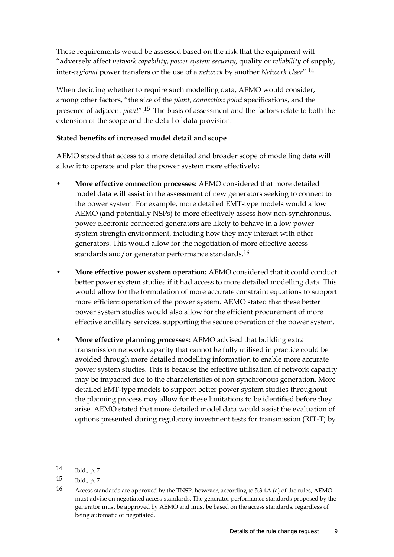These requirements would be assessed based on the risk that the equipment will "adversely affect *network capability*, *power system security*, quality or *reliability* of supply, inter-*regional* power transfers or the use of a *network* by another *Network User*".14

When deciding whether to require such modelling data, AEMO would consider, among other factors, "the size of the *plant*, *connection point* specifications, and the presence of adjacent *plant*".15 The basis of assessment and the factors relate to both the extension of the scope and the detail of data provision.

#### **Stated benefits of increased model detail and scope**

AEMO stated that access to a more detailed and broader scope of modelling data will allow it to operate and plan the power system more effectively:

- **More effective connection processes:** AEMO considered that more detailed model data will assist in the assessment of new generators seeking to connect to the power system. For example, more detailed EMT-type models would allow AEMO (and potentially NSPs) to more effectively assess how non-synchronous, power electronic connected generators are likely to behave in a low power system strength environment, including how they may interact with other generators. This would allow for the negotiation of more effective access standards and/or generator performance standards.<sup>16</sup>
- **More effective power system operation:** AEMO considered that it could conduct better power system studies if it had access to more detailed modelling data. This would allow for the formulation of more accurate constraint equations to support more efficient operation of the power system. AEMO stated that these better power system studies would also allow for the efficient procurement of more effective ancillary services, supporting the secure operation of the power system.
- **More effective planning processes:** AEMO advised that building extra transmission network capacity that cannot be fully utilised in practice could be avoided through more detailed modelling information to enable more accurate power system studies. This is because the effective utilisation of network capacity may be impacted due to the characteristics of non-synchronous generation. More detailed EMT-type models to support better power system studies throughout the planning process may allow for these limitations to be identified before they arise. AEMO stated that more detailed model data would assist the evaluation of options presented during regulatory investment tests for transmission (RIT-T) by

<sup>14</sup> Ibid., p. 7

<sup>15</sup> Ibid., p. 7

<sup>16</sup> Access standards are approved by the TNSP, however, according to 5.3.4A (a) of the rules, AEMO must advise on negotiated access standards. The generator performance standards proposed by the generator must be approved by AEMO and must be based on the access standards, regardless of being automatic or negotiated.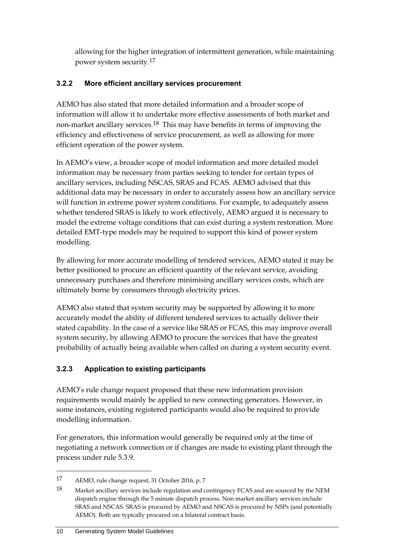allowing for the higher integration of intermittent generation, while maintaining power system security.17

### **3.2.2 More efficient ancillary services procurement**

AEMO has also stated that more detailed information and a broader scope of information will allow it to undertake more effective assessments of both market and non-market ancillary services.18 This may have benefits in terms of improving the efficiency and effectiveness of service procurement, as well as allowing for more efficient operation of the power system.

In AEMO's view, a broader scope of model information and more detailed model information may be necessary from parties seeking to tender for certain types of ancillary services, including NSCAS, SRAS and FCAS. AEMO advised that this additional data may be necessary in order to accurately assess how an ancillary service will function in extreme power system conditions. For example, to adequately assess whether tendered SRAS is likely to work effectively, AEMO argued it is necessary to model the extreme voltage conditions that can exist during a system restoration. More detailed EMT-type models may be required to support this kind of power system modelling.

By allowing for more accurate modelling of tendered services, AEMO stated it may be better positioned to procure an efficient quantity of the relevant service, avoiding unnecessary purchases and therefore minimising ancillary services costs, which are ultimately borne by consumers through electricity prices.

AEMO also stated that system security may be supported by allowing it to more accurately model the ability of different tendered services to actually deliver their stated capability. In the case of a service like SRAS or FCAS, this may improve overall system security, by allowing AEMO to procure the services that have the greatest probability of actually being available when called on during a system security event.

### **3.2.3 Application to existing participants**

AEMO's rule change request proposed that these new information provision requirements would mainly be applied to new connecting generators. However, in some instances, existing registered participants would also be required to provide modelling information.

For generators, this information would generally be required only at the time of negotiating a network connection or if changes are made to existing plant through the process under rule 5.3.9.

<sup>17</sup> AEMO, rule change request, 31 October 2016, p. 7

<sup>18</sup> Market ancillary services include regulation and contingency FCAS and are sourced by the NEM dispatch engine through the 5 minute dispatch process. Non market ancillary services include SRAS and NSCAS. SRAS is procured by AEMO and NSCAS is procured by NSPs (and potentially AEMO). Both are typically procured on a bilateral contract basis.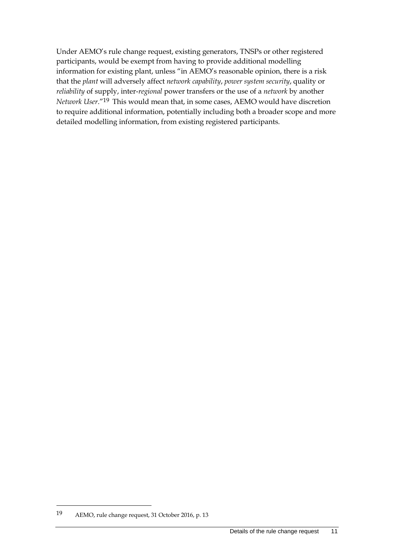Under AEMO's rule change request, existing generators, TNSPs or other registered participants, would be exempt from having to provide additional modelling information for existing plant, unless "in AEMO's reasonable opinion, there is a risk that the *plant* will adversely affect *network capability*, *power system security*, quality or *reliability* of supply, inter-*regional* power transfers or the use of a *network* by another *Network User*."19 This would mean that, in some cases, AEMO would have discretion to require additional information, potentially including both a broader scope and more detailed modelling information, from existing registered participants.

<sup>19</sup> AEMO, rule change request, 31 October 2016, p. 13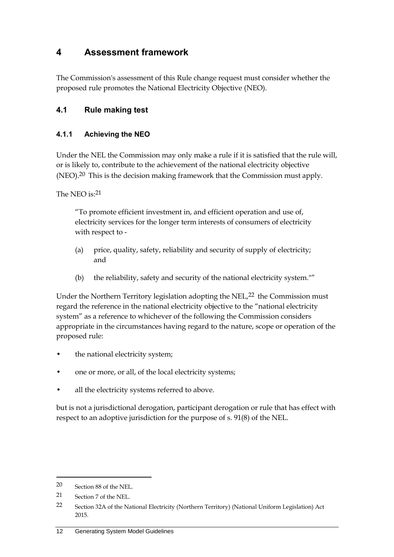## <span id="page-15-0"></span>**4 Assessment framework**

The Commission's assessment of this Rule change request must consider whether the proposed rule promotes the National Electricity Objective (NEO).

### <span id="page-15-1"></span>**4.1 Rule making test**

### **4.1.1 Achieving the NEO**

Under the NEL the Commission may only make a rule if it is satisfied that the rule will, or is likely to, contribute to the achievement of the national electricity objective (NEO).<sup>20</sup> This is the decision making framework that the Commission must apply.

The NEO is:21

"To promote efficient investment in, and efficient operation and use of, electricity services for the longer term interests of consumers of electricity with respect to -

- (a) price, quality, safety, reliability and security of supply of electricity; and
- (b) the reliability, safety and security of the national electricity system.""

Under the Northern Territory legislation adopting the NEL $^{22}$  the Commission must regard the reference in the national electricity objective to the "national electricity system" as a reference to whichever of the following the Commission considers appropriate in the circumstances having regard to the nature, scope or operation of the proposed rule:

- the national electricity system;
- one or more, or all, of the local electricity systems;
- all the electricity systems referred to above.

but is not a jurisdictional derogation, participant derogation or rule that has effect with respect to an adoptive jurisdiction for the purpose of s. 91(8) of the NEL.

<sup>20</sup> Section 88 of the NEL.

<sup>21</sup> Section 7 of the NEL.

<sup>22</sup> Section 32A of the National Electricity (Northern Territory) (National Uniform Legislation) Act 2015.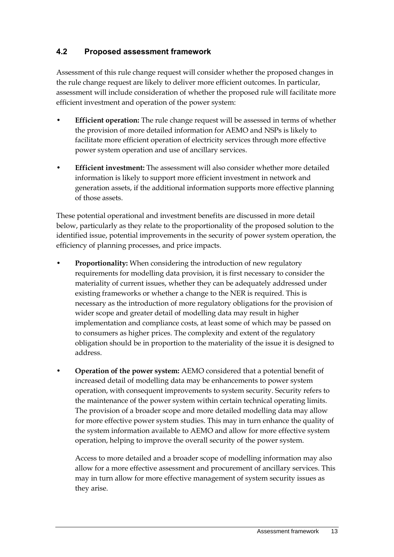### <span id="page-16-0"></span>**4.2 Proposed assessment framework**

Assessment of this rule change request will consider whether the proposed changes in the rule change request are likely to deliver more efficient outcomes. In particular, assessment will include consideration of whether the proposed rule will facilitate more efficient investment and operation of the power system:

- **Efficient operation:** The rule change request will be assessed in terms of whether the provision of more detailed information for AEMO and NSPs is likely to facilitate more efficient operation of electricity services through more effective power system operation and use of ancillary services.
- **Efficient investment:** The assessment will also consider whether more detailed information is likely to support more efficient investment in network and generation assets, if the additional information supports more effective planning of those assets.

These potential operational and investment benefits are discussed in more detail below, particularly as they relate to the proportionality of the proposed solution to the identified issue, potential improvements in the security of power system operation, the efficiency of planning processes, and price impacts.

- **Proportionality:** When considering the introduction of new regulatory requirements for modelling data provision, it is first necessary to consider the materiality of current issues, whether they can be adequately addressed under existing frameworks or whether a change to the NER is required. This is necessary as the introduction of more regulatory obligations for the provision of wider scope and greater detail of modelling data may result in higher implementation and compliance costs, at least some of which may be passed on to consumers as higher prices. The complexity and extent of the regulatory obligation should be in proportion to the materiality of the issue it is designed to address.
- **Operation of the power system:** AEMO considered that a potential benefit of increased detail of modelling data may be enhancements to power system operation, with consequent improvements to system security. Security refers to the maintenance of the power system within certain technical operating limits. The provision of a broader scope and more detailed modelling data may allow for more effective power system studies. This may in turn enhance the quality of the system information available to AEMO and allow for more effective system operation, helping to improve the overall security of the power system.

Access to more detailed and a broader scope of modelling information may also allow for a more effective assessment and procurement of ancillary services. This may in turn allow for more effective management of system security issues as they arise.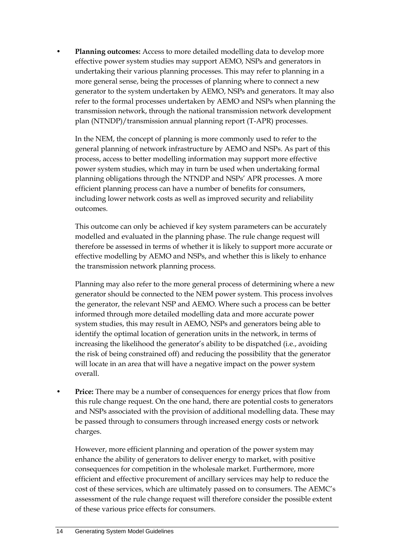• **Planning outcomes:** Access to more detailed modelling data to develop more effective power system studies may support AEMO, NSPs and generators in undertaking their various planning processes. This may refer to planning in a more general sense, being the processes of planning where to connect a new generator to the system undertaken by AEMO, NSPs and generators. It may also refer to the formal processes undertaken by AEMO and NSPs when planning the transmission network, through the national transmission network development plan (NTNDP)/transmission annual planning report (T-APR) processes.

In the NEM, the concept of planning is more commonly used to refer to the general planning of network infrastructure by AEMO and NSPs. As part of this process, access to better modelling information may support more effective power system studies, which may in turn be used when undertaking formal planning obligations through the NTNDP and NSPs' APR processes. A more efficient planning process can have a number of benefits for consumers, including lower network costs as well as improved security and reliability outcomes.

This outcome can only be achieved if key system parameters can be accurately modelled and evaluated in the planning phase. The rule change request will therefore be assessed in terms of whether it is likely to support more accurate or effective modelling by AEMO and NSPs, and whether this is likely to enhance the transmission network planning process.

Planning may also refer to the more general process of determining where a new generator should be connected to the NEM power system. This process involves the generator, the relevant NSP and AEMO. Where such a process can be better informed through more detailed modelling data and more accurate power system studies, this may result in AEMO, NSPs and generators being able to identify the optimal location of generation units in the network, in terms of increasing the likelihood the generator's ability to be dispatched (i.e., avoiding the risk of being constrained off) and reducing the possibility that the generator will locate in an area that will have a negative impact on the power system overall.

Price: There may be a number of consequences for energy prices that flow from this rule change request. On the one hand, there are potential costs to generators and NSPs associated with the provision of additional modelling data. These may be passed through to consumers through increased energy costs or network charges.

However, more efficient planning and operation of the power system may enhance the ability of generators to deliver energy to market, with positive consequences for competition in the wholesale market. Furthermore, more efficient and effective procurement of ancillary services may help to reduce the cost of these services, which are ultimately passed on to consumers. The AEMC's assessment of the rule change request will therefore consider the possible extent of these various price effects for consumers.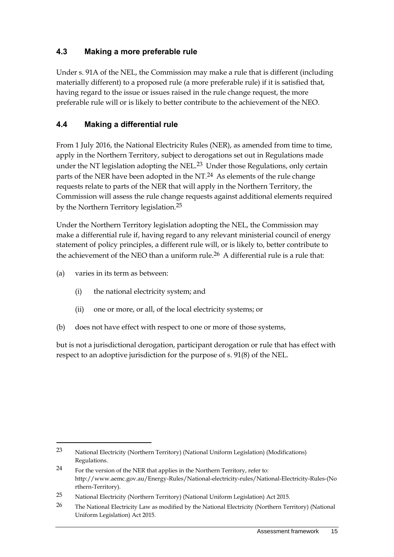### <span id="page-18-0"></span>**4.3 Making a more preferable rule**

Under s. 91A of the NEL, the Commission may make a rule that is different (including materially different) to a proposed rule (a more preferable rule) if it is satisfied that, having regard to the issue or issues raised in the rule change request, the more preferable rule will or is likely to better contribute to the achievement of the NEO.

### <span id="page-18-1"></span>**4.4 Making a differential rule**

From 1 July 2016, the National Electricity Rules (NER), as amended from time to time, apply in the Northern Territory, subject to derogations set out in Regulations made under the NT legislation adopting the NEL.<sup>23</sup> Under those Regulations, only certain parts of the NER have been adopted in the NT.<sup>24</sup> As elements of the rule change requests relate to parts of the NER that will apply in the Northern Territory, the Commission will assess the rule change requests against additional elements required by the Northern Territory legislation.25

Under the Northern Territory legislation adopting the NEL, the Commission may make a differential rule if, having regard to any relevant ministerial council of energy statement of policy principles, a different rule will, or is likely to, better contribute to the achievement of the NEO than a uniform rule.<sup>26</sup> A differential rule is a rule that:

(a) varies in its term as between:

<u>.</u>

- (i) the national electricity system; and
- (ii) one or more, or all, of the local electricity systems; or
- (b) does not have effect with respect to one or more of those systems,

but is not a jurisdictional derogation, participant derogation or rule that has effect with respect to an adoptive jurisdiction for the purpose of s. 91(8) of the NEL.

<sup>23</sup> National Electricity (Northern Territory) (National Uniform Legislation) (Modifications) Regulations.

<sup>24</sup> For the version of the NER that applies in the Northern Territory, refer to: http://www.aemc.gov.au/Energy-Rules/National-electricity-rules/National-Electricity-Rules-(No rthern-Territory).

<sup>25</sup> National Electricity (Northern Territory) (National Uniform Legislation) Act 2015.

<sup>26</sup> The National Electricity Law as modified by the National Electricity (Northern Territory) (National Uniform Legislation) Act 2015.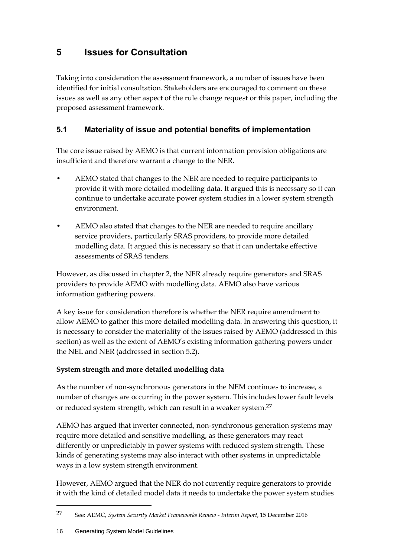## <span id="page-19-0"></span>**5 Issues for Consultation**

Taking into consideration the assessment framework, a number of issues have been identified for initial consultation. Stakeholders are encouraged to comment on these issues as well as any other aspect of the rule change request or this paper, including the proposed assessment framework.

### <span id="page-19-1"></span>**5.1 Materiality of issue and potential benefits of implementation**

The core issue raised by AEMO is that current information provision obligations are insufficient and therefore warrant a change to the NER.

- AEMO stated that changes to the NER are needed to require participants to provide it with more detailed modelling data. It argued this is necessary so it can continue to undertake accurate power system studies in a lower system strength environment.
- AEMO also stated that changes to the NER are needed to require ancillary service providers, particularly SRAS providers, to provide more detailed modelling data. It argued this is necessary so that it can undertake effective assessments of SRAS tenders.

However, as discussed in chapter 2, the NER already require generators and SRAS providers to provide AEMO with modelling data. AEMO also have various information gathering powers.

A key issue for consideration therefore is whether the NER require amendment to allow AEMO to gather this more detailed modelling data. In answering this question, it is necessary to consider the materiality of the issues raised by AEMO (addressed in this section) as well as the extent of AEMO's existing information gathering powers under the NEL and NER (addressed in section 5.2).

### **System strength and more detailed modelling data**

As the number of non-synchronous generators in the NEM continues to increase, a number of changes are occurring in the power system. This includes lower fault levels or reduced system strength, which can result in a weaker system.<sup>27</sup>

AEMO has argued that inverter connected, non-synchronous generation systems may require more detailed and sensitive modelling, as these generators may react differently or unpredictably in power systems with reduced system strength. These kinds of generating systems may also interact with other systems in unpredictable ways in a low system strength environment.

However, AEMO argued that the NER do not currently require generators to provide it with the kind of detailed model data it needs to undertake the power system studies

<sup>27</sup> See: AEMC, *System Security Market Frameworks Review - Interim Report*, 15 December 2016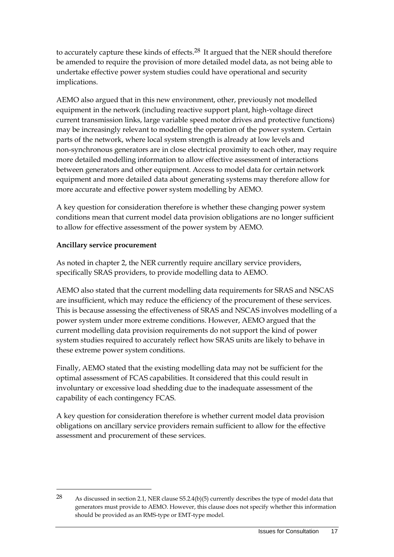to accurately capture these kinds of effects. $28$  It argued that the NER should therefore be amended to require the provision of more detailed model data, as not being able to undertake effective power system studies could have operational and security implications.

AEMO also argued that in this new environment, other, previously not modelled equipment in the network (including reactive support plant, high-voltage direct current transmission links, large variable speed motor drives and protective functions) may be increasingly relevant to modelling the operation of the power system. Certain parts of the network, where local system strength is already at low levels and non-synchronous generators are in close electrical proximity to each other, may require more detailed modelling information to allow effective assessment of interactions between generators and other equipment. Access to model data for certain network equipment and more detailed data about generating systems may therefore allow for more accurate and effective power system modelling by AEMO.

A key question for consideration therefore is whether these changing power system conditions mean that current model data provision obligations are no longer sufficient to allow for effective assessment of the power system by AEMO.

### **Ancillary service procurement**

<u>.</u>

As noted in chapter 2, the NER currently require ancillary service providers, specifically SRAS providers, to provide modelling data to AEMO.

AEMO also stated that the current modelling data requirements for SRAS and NSCAS are insufficient, which may reduce the efficiency of the procurement of these services. This is because assessing the effectiveness of SRAS and NSCAS involves modelling of a power system under more extreme conditions. However, AEMO argued that the current modelling data provision requirements do not support the kind of power system studies required to accurately reflect how SRAS units are likely to behave in these extreme power system conditions.

Finally, AEMO stated that the existing modelling data may not be sufficient for the optimal assessment of FCAS capabilities. It considered that this could result in involuntary or excessive load shedding due to the inadequate assessment of the capability of each contingency FCAS.

A key question for consideration therefore is whether current model data provision obligations on ancillary service providers remain sufficient to allow for the effective assessment and procurement of these services.

<sup>28</sup> As discussed in section 2.1, NER clause S5.2.4(b)(5) currently describes the type of model data that generators must provide to AEMO. However, this clause does not specify whether this information should be provided as an RMS-type or EMT-type model.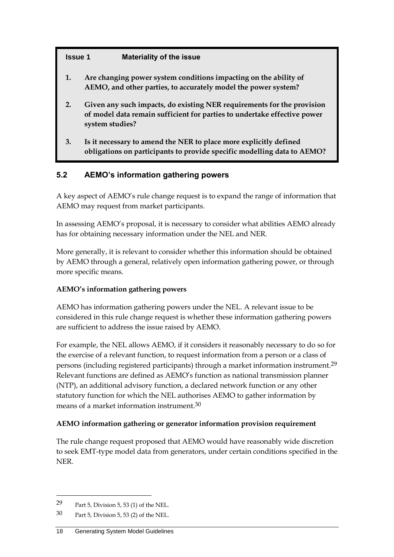### **Issue 1 Materiality of the issue**

- **1. Are changing power system conditions impacting on the ability of AEMO, and other parties, to accurately model the power system?**
- **2. Given any such impacts, do existing NER requirements for the provision of model data remain sufficient for parties to undertake effective power system studies?**
- **3. Is it necessary to amend the NER to place more explicitly defined obligations on participants to provide specific modelling data to AEMO?**

### <span id="page-21-0"></span>**5.2 AEMO's information gathering powers**

A key aspect of AEMO's rule change request is to expand the range of information that AEMO may request from market participants.

In assessing AEMO's proposal, it is necessary to consider what abilities AEMO already has for obtaining necessary information under the NEL and NER.

More generally, it is relevant to consider whether this information should be obtained by AEMO through a general, relatively open information gathering power, or through more specific means.

### **AEMO's information gathering powers**

AEMO has information gathering powers under the NEL. A relevant issue to be considered in this rule change request is whether these information gathering powers are sufficient to address the issue raised by AEMO.

For example, the NEL allows AEMO, if it considers it reasonably necessary to do so for the exercise of a relevant function, to request information from a person or a class of persons (including registered participants) through a market information instrument.29 Relevant functions are defined as AEMO's function as national transmission planner (NTP), an additional advisory function, a declared network function or any other statutory function for which the NEL authorises AEMO to gather information by means of a market information instrument.30

### **AEMO information gathering or generator information provision requirement**

The rule change request proposed that AEMO would have reasonably wide discretion to seek EMT-type model data from generators, under certain conditions specified in the NER.

<sup>29</sup> Part 5, Division 5, 53 (1) of the NEL.

<sup>30</sup> Part 5, Division 5, 53 (2) of the NEL.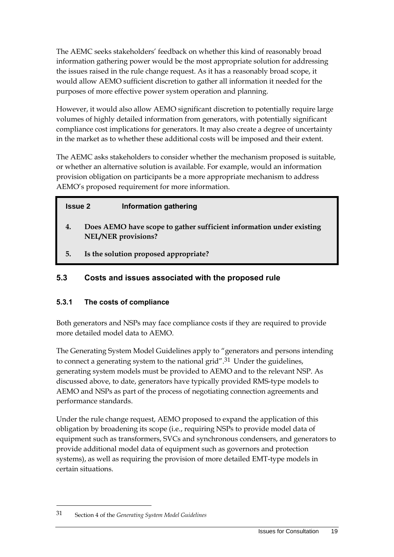The AEMC seeks stakeholders' feedback on whether this kind of reasonably broad information gathering power would be the most appropriate solution for addressing the issues raised in the rule change request. As it has a reasonably broad scope, it would allow AEMO sufficient discretion to gather all information it needed for the purposes of more effective power system operation and planning.

However, it would also allow AEMO significant discretion to potentially require large volumes of highly detailed information from generators, with potentially significant compliance cost implications for generators. It may also create a degree of uncertainty in the market as to whether these additional costs will be imposed and their extent.

The AEMC asks stakeholders to consider whether the mechanism proposed is suitable, or whether an alternative solution is available. For example, would an information provision obligation on participants be a more appropriate mechanism to address AEMO's proposed requirement for more information.

### **Issue 2 Information gathering**

- **4. Does AEMO have scope to gather sufficient information under existing NEL/NER provisions?**
- **5. Is the solution proposed appropriate?**

### <span id="page-22-0"></span>**5.3 Costs and issues associated with the proposed rule**

### **5.3.1 The costs of compliance**

Both generators and NSPs may face compliance costs if they are required to provide more detailed model data to AEMO.

The Generating System Model Guidelines apply to "generators and persons intending to connect a generating system to the national grid".<sup>31</sup> Under the guidelines, generating system models must be provided to AEMO and to the relevant NSP. As discussed above, to date, generators have typically provided RMS-type models to AEMO and NSPs as part of the process of negotiating connection agreements and performance standards.

Under the rule change request, AEMO proposed to expand the application of this obligation by broadening its scope (i.e., requiring NSPs to provide model data of equipment such as transformers, SVCs and synchronous condensers, and generators to provide additional model data of equipment such as governors and protection systems), as well as requiring the provision of more detailed EMT-type models in certain situations.

<sup>31</sup> Section 4 of the *Generating System Model Guidelines*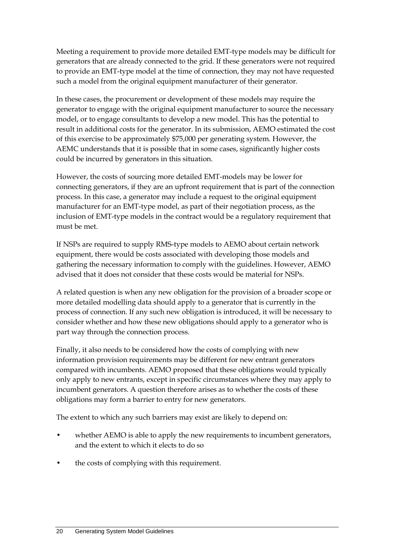Meeting a requirement to provide more detailed EMT-type models may be difficult for generators that are already connected to the grid. If these generators were not required to provide an EMT-type model at the time of connection, they may not have requested such a model from the original equipment manufacturer of their generator.

In these cases, the procurement or development of these models may require the generator to engage with the original equipment manufacturer to source the necessary model, or to engage consultants to develop a new model. This has the potential to result in additional costs for the generator. In its submission, AEMO estimated the cost of this exercise to be approximately \$75,000 per generating system. However, the AEMC understands that it is possible that in some cases, significantly higher costs could be incurred by generators in this situation.

However, the costs of sourcing more detailed EMT-models may be lower for connecting generators, if they are an upfront requirement that is part of the connection process. In this case, a generator may include a request to the original equipment manufacturer for an EMT-type model, as part of their negotiation process, as the inclusion of EMT-type models in the contract would be a regulatory requirement that must be met.

If NSPs are required to supply RMS-type models to AEMO about certain network equipment, there would be costs associated with developing those models and gathering the necessary information to comply with the guidelines. However, AEMO advised that it does not consider that these costs would be material for NSPs.

A related question is when any new obligation for the provision of a broader scope or more detailed modelling data should apply to a generator that is currently in the process of connection. If any such new obligation is introduced, it will be necessary to consider whether and how these new obligations should apply to a generator who is part way through the connection process.

Finally, it also needs to be considered how the costs of complying with new information provision requirements may be different for new entrant generators compared with incumbents. AEMO proposed that these obligations would typically only apply to new entrants, except in specific circumstances where they may apply to incumbent generators. A question therefore arises as to whether the costs of these obligations may form a barrier to entry for new generators.

The extent to which any such barriers may exist are likely to depend on:

- whether AEMO is able to apply the new requirements to incumbent generators, and the extent to which it elects to do so
- the costs of complying with this requirement.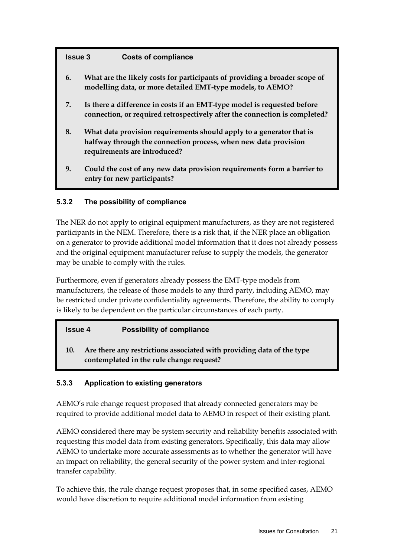### **Issue 3 Costs of compliance**

- **6. What are the likely costs for participants of providing a broader scope of modelling data, or more detailed EMT-type models, to AEMO?**
- **7. Is there a difference in costs if an EMT-type model is requested before connection, or required retrospectively after the connection is completed?**
- **8. What data provision requirements should apply to a generator that is halfway through the connection process, when new data provision requirements are introduced?**
- **9. Could the cost of any new data provision requirements form a barrier to entry for new participants?**

#### **5.3.2 The possibility of compliance**

The NER do not apply to original equipment manufacturers, as they are not registered participants in the NEM. Therefore, there is a risk that, if the NER place an obligation on a generator to provide additional model information that it does not already possess and the original equipment manufacturer refuse to supply the models, the generator may be unable to comply with the rules.

Furthermore, even if generators already possess the EMT-type models from manufacturers, the release of those models to any third party, including AEMO, may be restricted under private confidentiality agreements. Therefore, the ability to comply is likely to be dependent on the particular circumstances of each party.

| <b>Possibility of compliance</b><br><b>Issue 4</b> |
|----------------------------------------------------|
|----------------------------------------------------|

**10. Are there any restrictions associated with providing data of the type contemplated in the rule change request?**

#### **5.3.3 Application to existing generators**

AEMO's rule change request proposed that already connected generators may be required to provide additional model data to AEMO in respect of their existing plant.

AEMO considered there may be system security and reliability benefits associated with requesting this model data from existing generators. Specifically, this data may allow AEMO to undertake more accurate assessments as to whether the generator will have an impact on reliability, the general security of the power system and inter-regional transfer capability.

To achieve this, the rule change request proposes that, in some specified cases, AEMO would have discretion to require additional model information from existing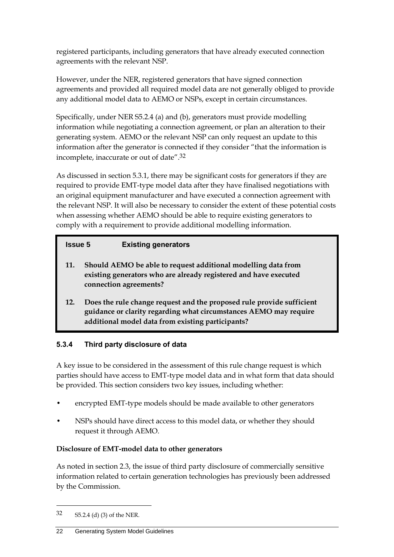registered participants, including generators that have already executed connection agreements with the relevant NSP.

However, under the NER, registered generators that have signed connection agreements and provided all required model data are not generally obliged to provide any additional model data to AEMO or NSPs, except in certain circumstances.

Specifically, under NER S5.2.4 (a) and (b), generators must provide modelling information while negotiating a connection agreement, or plan an alteration to their generating system. AEMO or the relevant NSP can only request an update to this information after the generator is connected if they consider "that the information is incomplete, inaccurate or out of date".32

As discussed in section 5.3.1, there may be significant costs for generators if they are required to provide EMT-type model data after they have finalised negotiations with an original equipment manufacturer and have executed a connection agreement with the relevant NSP. It will also be necessary to consider the extent of these potential costs when assessing whether AEMO should be able to require existing generators to comply with a requirement to provide additional modelling information.

### **Issue 5 Existing generators**

- **11. Should AEMO be able to request additional modelling data from existing generators who are already registered and have executed connection agreements?**
- **12. Does the rule change request and the proposed rule provide sufficient guidance or clarity regarding what circumstances AEMO may require additional model data from existing participants?**

### **5.3.4 Third party disclosure of data**

A key issue to be considered in the assessment of this rule change request is which parties should have access to EMT-type model data and in what form that data should be provided. This section considers two key issues, including whether:

- encrypted EMT-type models should be made available to other generators
- NSPs should have direct access to this model data, or whether they should request it through AEMO.

### **Disclosure of EMT-model data to other generators**

As noted in section 2.3, the issue of third party disclosure of commercially sensitive information related to certain generation technologies has previously been addressed by the Commission.

<sup>32</sup> S5.2.4 (d) (3) of the NER.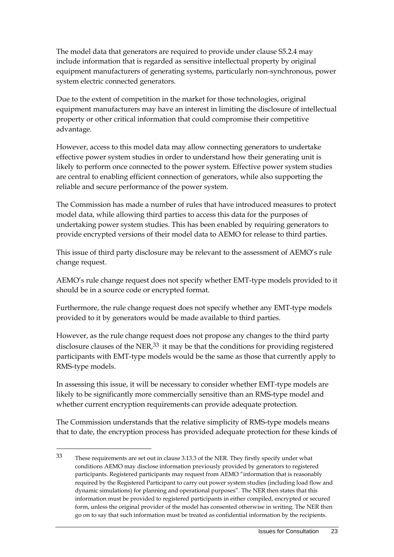The model data that generators are required to provide under clause S5.2.4 may include information that is regarded as sensitive intellectual property by original equipment manufacturers of generating systems, particularly non-synchronous, power system electric connected generators.

Due to the extent of competition in the market for those technologies, original equipment manufacturers may have an interest in limiting the disclosure of intellectual property or other critical information that could compromise their competitive advantage.

However, access to this model data may allow connecting generators to undertake effective power system studies in order to understand how their generating unit is likely to perform once connected to the power system. Effective power system studies are central to enabling efficient connection of generators, while also supporting the reliable and secure performance of the power system.

The Commission has made a number of rules that have introduced measures to protect model data, while allowing third parties to access this data for the purposes of undertaking power system studies. This has been enabled by requiring generators to provide encrypted versions of their model data to AEMO for release to third parties.

This issue of third party disclosure may be relevant to the assessment of AEMO's rule change request.

AEMO's rule change request does not specify whether EMT-type models provided to it should be in a source code or encrypted format.

Furthermore, the rule change request does not specify whether any EMT-type models provided to it by generators would be made available to third parties.

However, as the rule change request does not propose any changes to the third party disclosure clauses of the NER $^{33}$  it may be that the conditions for providing registered participants with EMT-type models would be the same as those that currently apply to RMS-type models.

In assessing this issue, it will be necessary to consider whether EMT-type models are likely to be significantly more commercially sensitive than an RMS-type model and whether current encryption requirements can provide adequate protection.

The Commission understands that the relative simplicity of RMS-type models means that to date, the encryption process has provided adequate protection for these kinds of

<sup>33</sup> These requirements are set out in clause 3.13.3 of the NER. They firstly specify under what conditions AEMO may disclose information previously provided by generators to registered participants. Registered participants may request from AEMO "information that is reasonably required by the Registered Participant to carry out power system studies (including load flow and dynamic simulations) for planning and operational purposes". The NER then states that this information must be provided to registered participants in either compiled, encrypted or secured form, unless the original provider of the model has consented otherwise in writing. The NER then go on to say that such information must be treated as confidential information by the recipients.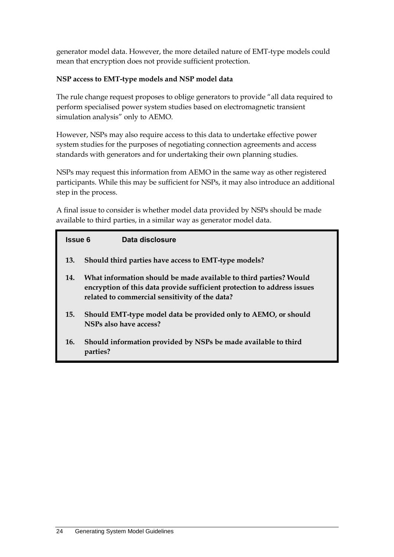generator model data. However, the more detailed nature of EMT-type models could mean that encryption does not provide sufficient protection.

### **NSP access to EMT-type models and NSP model data**

The rule change request proposes to oblige generators to provide "all data required to perform specialised power system studies based on electromagnetic transient simulation analysis" only to AEMO.

However, NSPs may also require access to this data to undertake effective power system studies for the purposes of negotiating connection agreements and access standards with generators and for undertaking their own planning studies.

NSPs may request this information from AEMO in the same way as other registered participants. While this may be sufficient for NSPs, it may also introduce an additional step in the process.

A final issue to consider is whether model data provided by NSPs should be made available to third parties, in a similar way as generator model data.

| <b>Issue 6</b> | Data disclosure                                                                                                                                                                                |
|----------------|------------------------------------------------------------------------------------------------------------------------------------------------------------------------------------------------|
| 13.            | Should third parties have access to EMT-type models?                                                                                                                                           |
| 14.            | What information should be made available to third parties? Would<br>encryption of this data provide sufficient protection to address issues<br>related to commercial sensitivity of the data? |
| 15.            | Should EMT-type model data be provided only to AEMO, or should<br>NSPs also have access?                                                                                                       |
| 16.            | Should information provided by NSPs be made available to third                                                                                                                                 |

**parties?**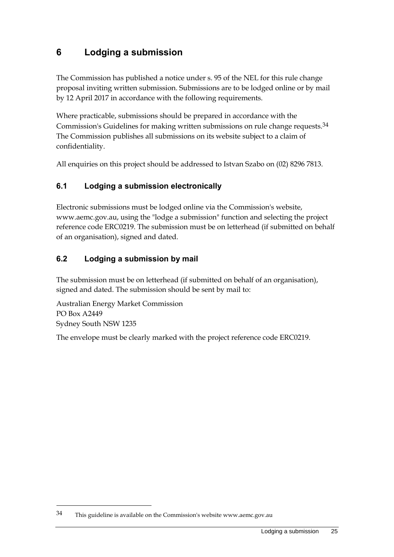## <span id="page-28-0"></span>**6 Lodging a submission**

The Commission has published a notice under s. 95 of the NEL for this rule change proposal inviting written submission. Submissions are to be lodged online or by mail by 12 April 2017 in accordance with the following requirements.

Where practicable, submissions should be prepared in accordance with the Commission's Guidelines for making written submissions on rule change requests.34 The Commission publishes all submissions on its website subject to a claim of confidentiality.

All enquiries on this project should be addressed to Istvan Szabo on (02) 8296 7813.

### <span id="page-28-1"></span>**6.1 Lodging a submission electronically**

Electronic submissions must be lodged online via the Commission's website, www.aemc.gov.au, using the "lodge a submission" function and selecting the project reference code ERC0219. The submission must be on letterhead (if submitted on behalf of an organisation), signed and dated.

### <span id="page-28-2"></span>**6.2 Lodging a submission by mail**

The submission must be on letterhead (if submitted on behalf of an organisation), signed and dated. The submission should be sent by mail to:

Australian Energy Market Commission PO Box A2449 Sydney South NSW 1235

1

The envelope must be clearly marked with the project reference code ERC0219.

<sup>34</sup> This guideline is available on the Commission's website www.aemc.gov.au